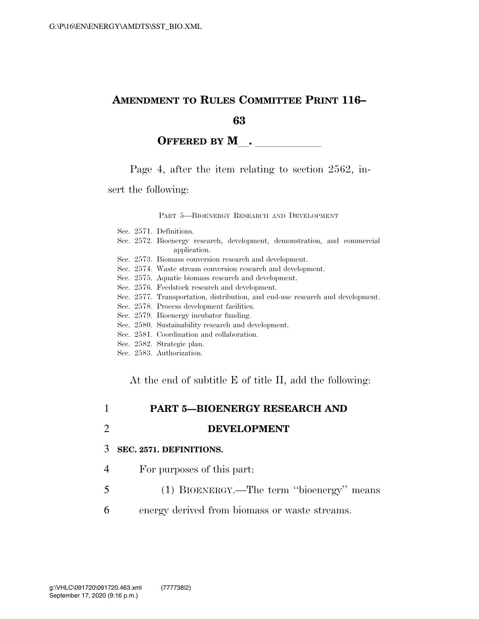### **AMENDMENT TO RULES COMMITTEE PRINT 116–**

**63** 

### **OFFERED BY M** .

Page 4, after the item relating to section 2562, in-

sert the following:

#### PART 5—BIOENERGY RESEARCH AND DEVELOPMENT

- Sec. 2572. Bioenergy research, development, demonstration, and commercial application.
- Sec. 2573. Biomass conversion research and development.
- Sec. 2574. Waste stream conversion research and development.
- Sec. 2575. Aquatic biomass research and development.
- Sec. 2576. Feedstock research and development.
- Sec. 2577. Transportation, distribution, and end-use research and development.
- Sec. 2578. Process development facilities.
- Sec. 2579. Bioenergy incubator funding.
- Sec. 2580. Sustainability research and development.
- Sec. 2581. Coordination and collaboration.
- Sec. 2582. Strategic plan.
- Sec. 2583. Authorization.

At the end of subtitle E of title II, add the following:

### 1 **PART 5—BIOENERGY RESEARCH AND**

2 **DEVELOPMENT** 

#### 3 **SEC. 2571. DEFINITIONS.**

- 4 For purposes of this part:
- 5 (1) BIOENERGY.—The term ''bioenergy'' means
- 6 energy derived from biomass or waste streams.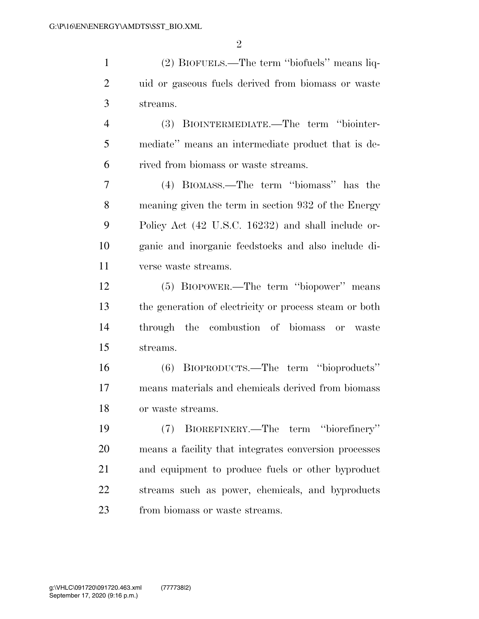(2) BIOFUELS.—The term ''biofuels'' means liq- uid or gaseous fuels derived from biomass or waste streams.

 (3) BIOINTERMEDIATE.—The term ''biointer- mediate'' means an intermediate product that is de-rived from biomass or waste streams.

 (4) BIOMASS.—The term ''biomass'' has the meaning given the term in section 932 of the Energy Policy Act (42 U.S.C. 16232) and shall include or- ganic and inorganic feedstocks and also include di-verse waste streams.

 (5) BIOPOWER.—The term ''biopower'' means the generation of electricity or process steam or both through the combustion of biomass or waste streams.

 (6) BIOPRODUCTS.—The term ''bioproducts'' means materials and chemicals derived from biomass or waste streams.

 (7) BIOREFINERY.—The term ''biorefinery'' means a facility that integrates conversion processes and equipment to produce fuels or other byproduct streams such as power, chemicals, and byproducts from biomass or waste streams.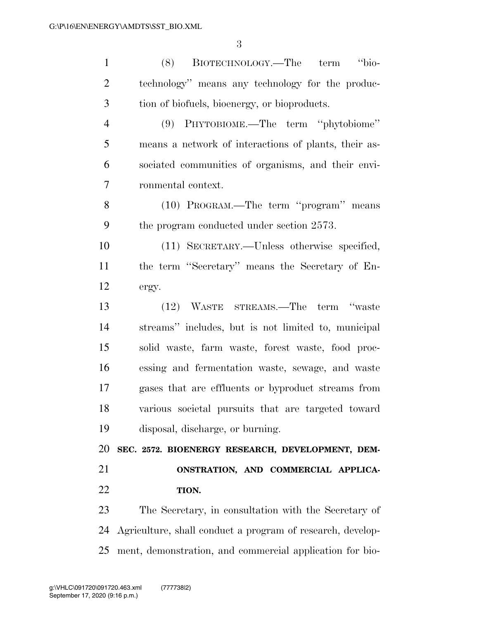| $\mathbf{1}$   | "bio-<br>BIOTECHNOLOGY.—The term<br>(8)                    |
|----------------|------------------------------------------------------------|
| $\overline{2}$ | technology" means any technology for the produc-           |
| 3              | tion of biofuels, bioenergy, or bioproducts.               |
| $\overline{4}$ | (9) PHYTOBIOME.—The term "phytobiome"                      |
| 5              | means a network of interactions of plants, their as-       |
| 6              | sociated communities of organisms, and their envi-         |
| 7              | ronmental context.                                         |
| 8              | (10) PROGRAM.—The term "program" means                     |
| 9              | the program conducted under section 2573.                  |
| 10             | (11) SECRETARY.—Unless otherwise specified,                |
| 11             | the term "Secretary" means the Secretary of En-            |
| 12             | ergy.                                                      |
| 13             | (12) WASTE STREAMS.—The term "waste                        |
| 14             | streams" includes, but is not limited to, municipal        |
| 15             | solid waste, farm waste, forest waste, food proc-          |
| 16             | essing and fermentation waste, sewage, and waste           |
| 17             | gases that are effluents or byproduct streams from         |
| 18             | various societal pursuits that are targeted toward         |
| 19             | disposal, discharge, or burning.                           |
| 20             | SEC. 2572. BIOENERGY RESEARCH, DEVELOPMENT, DEM-           |
| 21             | ONSTRATION, AND COMMERCIAL APPLICA-                        |
| 22             | TION.                                                      |
| 23             | The Secretary, in consultation with the Secretary of       |
| 24             | Agriculture, shall conduct a program of research, develop- |
| 25             | ment, demonstration, and commercial application for bio-   |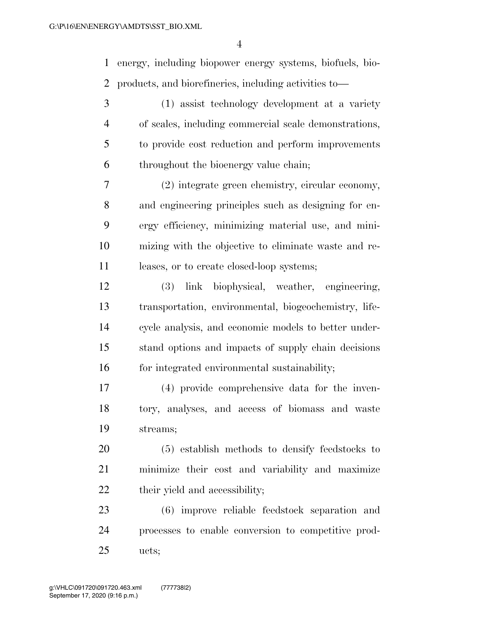energy, including biopower energy systems, biofuels, bio-products, and biorefineries, including activities to—

 (1) assist technology development at a variety of scales, including commercial scale demonstrations, to provide cost reduction and perform improvements throughout the bioenergy value chain;

 (2) integrate green chemistry, circular economy, and engineering principles such as designing for en- ergy efficiency, minimizing material use, and mini- mizing with the objective to eliminate waste and re-11 leases, or to create closed-loop systems;

 (3) link biophysical, weather, engineering, transportation, environmental, biogeochemistry, life- cycle analysis, and economic models to better under- stand options and impacts of supply chain decisions 16 for integrated environmental sustainability;

 (4) provide comprehensive data for the inven- tory, analyses, and access of biomass and waste streams;

 (5) establish methods to densify feedstocks to minimize their cost and variability and maximize their yield and accessibility;

 (6) improve reliable feedstock separation and processes to enable conversion to competitive prod-ucts;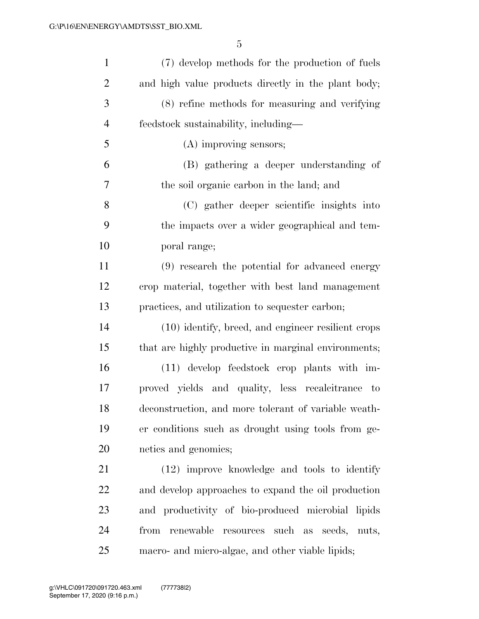| $\mathbf{1}$   | (7) develop methods for the production of fuels      |
|----------------|------------------------------------------------------|
| $\overline{2}$ | and high value products directly in the plant body;  |
| 3              | (8) refine methods for measuring and verifying       |
| $\overline{4}$ | feedstock sustainability, including-                 |
| 5              | (A) improving sensors;                               |
| 6              | (B) gathering a deeper understanding of              |
| $\overline{7}$ | the soil organic carbon in the land; and             |
| 8              | (C) gather deeper scientific insights into           |
| 9              | the impacts over a wider geographical and tem-       |
| 10             | poral range;                                         |
| 11             | (9) research the potential for advanced energy       |
| 12             | crop material, together with best land management    |
| 13             | practices, and utilization to sequester carbon;      |
| 14             | (10) identify, breed, and engineer resilient crops   |
| 15             | that are highly productive in marginal environments; |
| 16             | (11) develop feedstock crop plants with im-          |
| 17             | proved yields and quality, less recalcitrance to     |
| 18             | deconstruction, and more tolerant of variable weath- |
| 19             | er conditions such as drought using tools from ge-   |
| 20             | netics and genomics;                                 |
| 21             | (12) improve knowledge and tools to identify         |
| 22             | and develop approaches to expand the oil production  |
| 23             | and productivity of bio-produced microbial lipids    |
| 24             | renewable<br>resources such as seeds, nuts,<br>from  |
| 25             | macro- and micro-algae, and other viable lipids;     |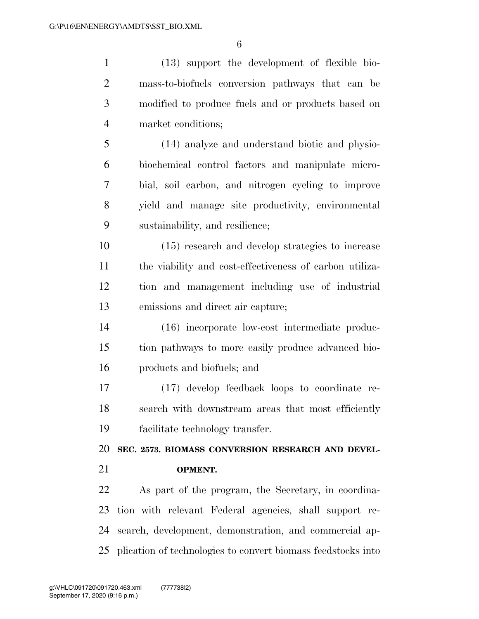(13) support the development of flexible bio- mass-to-biofuels conversion pathways that can be modified to produce fuels and or products based on market conditions; (14) analyze and understand biotic and physio- biochemical control factors and manipulate micro- bial, soil carbon, and nitrogen cycling to improve yield and manage site productivity, environmental sustainability, and resilience; (15) research and develop strategies to increase the viability and cost-effectiveness of carbon utiliza-

 tion and management including use of industrial emissions and direct air capture;

 (16) incorporate low-cost intermediate produc- tion pathways to more easily produce advanced bio-products and biofuels; and

 (17) develop feedback loops to coordinate re- search with downstream areas that most efficiently facilitate technology transfer.

**SEC. 2573. BIOMASS CONVERSION RESEARCH AND DEVEL-**

**OPMENT.** 

 As part of the program, the Secretary, in coordina- tion with relevant Federal agencies, shall support re- search, development, demonstration, and commercial ap-plication of technologies to convert biomass feedstocks into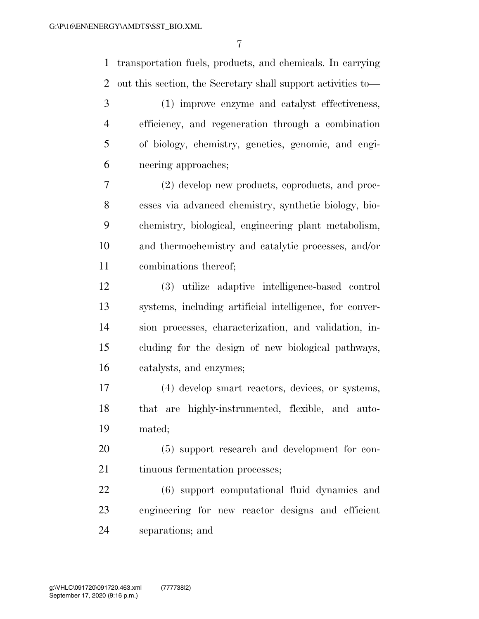transportation fuels, products, and chemicals. In carrying out this section, the Secretary shall support activities to—

 (1) improve enzyme and catalyst effectiveness, efficiency, and regeneration through a combination of biology, chemistry, genetics, genomic, and engi-neering approaches;

 (2) develop new products, coproducts, and proc- esses via advanced chemistry, synthetic biology, bio- chemistry, biological, engineering plant metabolism, and thermochemistry and catalytic processes, and/or combinations thereof;

 (3) utilize adaptive intelligence-based control systems, including artificial intelligence, for conver- sion processes, characterization, and validation, in- cluding for the design of new biological pathways, catalysts, and enzymes;

 (4) develop smart reactors, devices, or systems, that are highly-instrumented, flexible, and auto-mated;

 (5) support research and development for con-21 tinuous fermentation processes;

 (6) support computational fluid dynamics and engineering for new reactor designs and efficient separations; and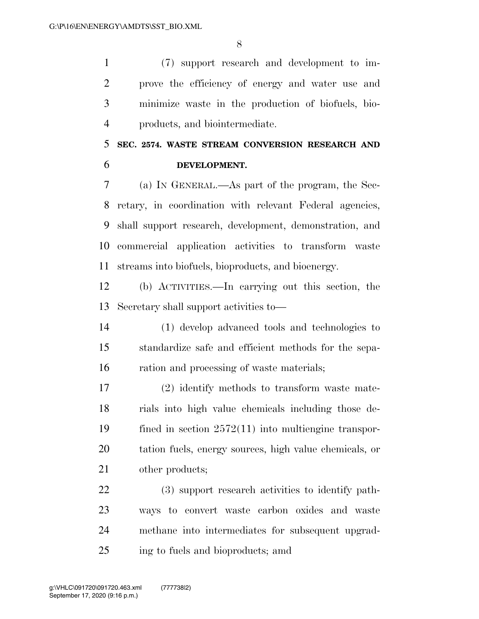(7) support research and development to im- prove the efficiency of energy and water use and minimize waste in the production of biofuels, bio-products, and biointermediate.

# **SEC. 2574. WASTE STREAM CONVERSION RESEARCH AND DEVELOPMENT.**

 (a) IN GENERAL.—As part of the program, the Sec- retary, in coordination with relevant Federal agencies, shall support research, development, demonstration, and commercial application activities to transform waste streams into biofuels, bioproducts, and bioenergy.

 (b) ACTIVITIES.—In carrying out this section, the Secretary shall support activities to—

 (1) develop advanced tools and technologies to standardize safe and efficient methods for the sepa-ration and processing of waste materials;

 (2) identify methods to transform waste mate- rials into high value chemicals including those de- fined in section 2572(11) into multiengine transpor- tation fuels, energy sources, high value chemicals, or other products;

 (3) support research activities to identify path- ways to convert waste carbon oxides and waste methane into intermediates for subsequent upgrad-ing to fuels and bioproducts; amd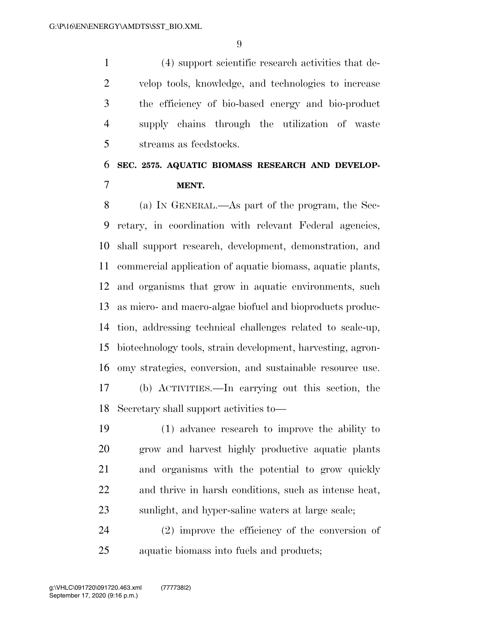(4) support scientific research activities that de- velop tools, knowledge, and technologies to increase the efficiency of bio-based energy and bio-product supply chains through the utilization of waste streams as feedstocks.

# **SEC. 2575. AQUATIC BIOMASS RESEARCH AND DEVELOP-MENT.**

 (a) IN GENERAL.—As part of the program, the Sec- retary, in coordination with relevant Federal agencies, shall support research, development, demonstration, and commercial application of aquatic biomass, aquatic plants, and organisms that grow in aquatic environments, such as micro- and macro-algae biofuel and bioproducts produc- tion, addressing technical challenges related to scale-up, biotechnology tools, strain development, harvesting, agron- omy strategies, conversion, and sustainable resource use. (b) ACTIVITIES.—In carrying out this section, the

Secretary shall support activities to—

 (1) advance research to improve the ability to grow and harvest highly productive aquatic plants and organisms with the potential to grow quickly and thrive in harsh conditions, such as intense heat, sunlight, and hyper-saline waters at large scale;

 (2) improve the efficiency of the conversion of aquatic biomass into fuels and products;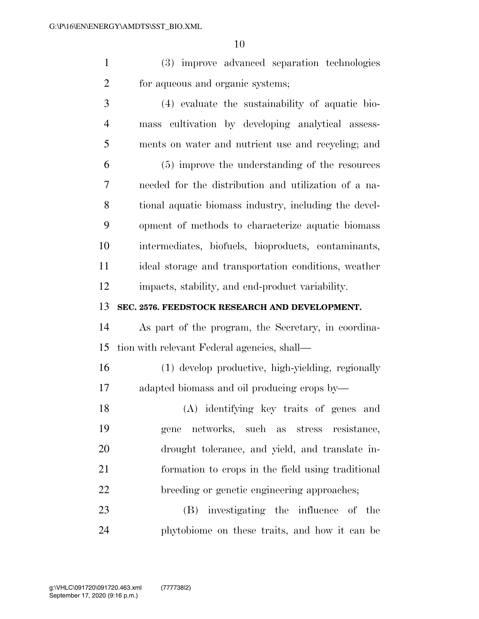(3) improve advanced separation technologies for aqueous and organic systems;

 (4) evaluate the sustainability of aquatic bio- mass cultivation by developing analytical assess- ments on water and nutrient use and recycling; and (5) improve the understanding of the resources needed for the distribution and utilization of a na- tional aquatic biomass industry, including the devel- opment of methods to characterize aquatic biomass intermediates, biofuels, bioproducts, contaminants, ideal storage and transportation conditions, weather impacts, stability, and end-product variability.

**SEC. 2576. FEEDSTOCK RESEARCH AND DEVELOPMENT.** 

 As part of the program, the Secretary, in coordina-tion with relevant Federal agencies, shall—

 (1) develop productive, high-yielding, regionally adapted biomass and oil producing crops by—

 (A) identifying key traits of genes and gene networks, such as stress resistance, drought tolerance, and yield, and translate in- formation to crops in the field using traditional breeding or genetic engineering approaches;

 (B) investigating the influence of the phytobiome on these traits, and how it can be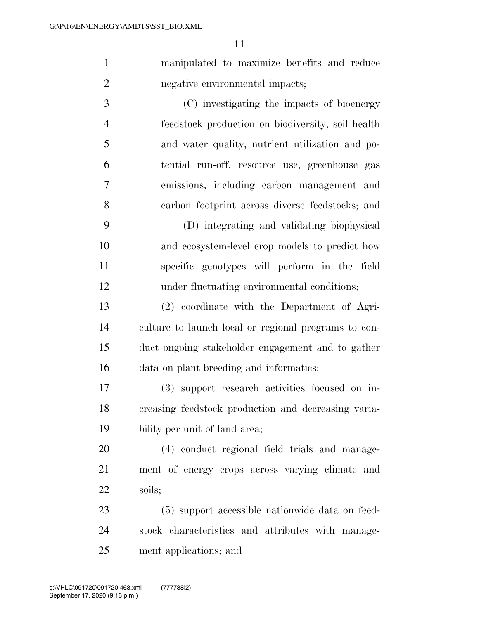|                | manipulated to maximize benefits and reduce       |
|----------------|---------------------------------------------------|
| $\overline{2}$ | negative environmental impacts;                   |
| 3              | (C) investigating the impacts of bioenergy        |
|                | feedstock production on biodiversity, soil health |
|                | and water quality, nutrient utilization and po-   |

 tential run-off, resource use, greenhouse gas emissions, including carbon management and carbon footprint across diverse feedstocks; and

 (D) integrating and validating biophysical and ecosystem-level crop models to predict how specific genotypes will perform in the field under fluctuating environmental conditions;

 (2) coordinate with the Department of Agri- culture to launch local or regional programs to con- duct ongoing stakeholder engagement and to gather data on plant breeding and informatics;

 (3) support research activities focused on in- creasing feedstock production and decreasing varia-bility per unit of land area;

 (4) conduct regional field trials and manage- ment of energy crops across varying climate and soils;

 (5) support accessible nationwide data on feed- stock characteristics and attributes with manage-ment applications; and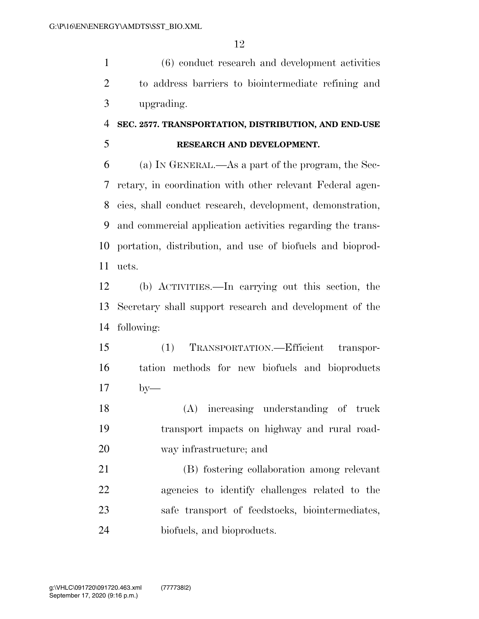(6) conduct research and development activities to address barriers to biointermediate refining and upgrading.

### **SEC. 2577. TRANSPORTATION, DISTRIBUTION, AND END-USE**

### **RESEARCH AND DEVELOPMENT.**

 (a) IN GENERAL.—As a part of the program, the Sec- retary, in coordination with other relevant Federal agen- cies, shall conduct research, development, demonstration, and commercial application activities regarding the trans- portation, distribution, and use of biofuels and bioprod-ucts.

 (b) ACTIVITIES.—In carrying out this section, the Secretary shall support research and development of the following:

 (1) TRANSPORTATION.—Efficient transpor- tation methods for new biofuels and bioproducts by—

 (A) increasing understanding of truck transport impacts on highway and rural road-way infrastructure; and

 (B) fostering collaboration among relevant agencies to identify challenges related to the safe transport of feedstocks, biointermediates, biofuels, and bioproducts.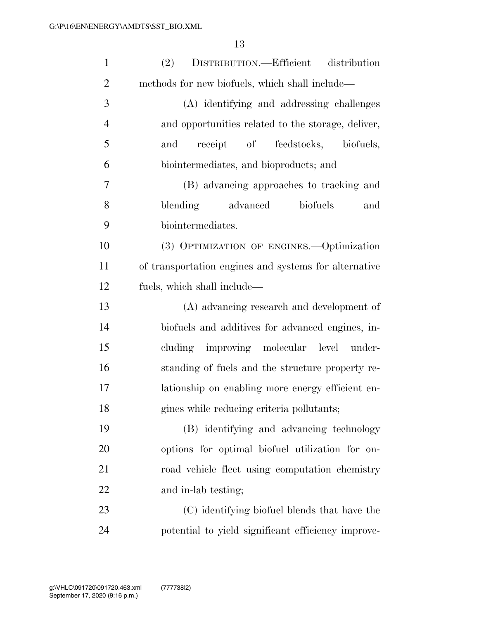| $\mathbf{1}$   | DISTRIBUTION.—Efficient distribution<br>(2)           |
|----------------|-------------------------------------------------------|
| $\overline{2}$ | methods for new biofuels, which shall include—        |
| 3              | (A) identifying and addressing challenges             |
| $\overline{4}$ | and opportunities related to the storage, deliver,    |
| 5              | receipt of feedstocks, biofuels,<br>and               |
| 6              | biointermediates, and bioproducts; and                |
| 7              | (B) advancing approaches to tracking and              |
| 8              | blending advanced<br>biofuels<br>and                  |
| 9              | biointermediates.                                     |
| 10             | (3) OPTIMIZATION OF ENGINES.—Optimization             |
| 11             | of transportation engines and systems for alternative |
| 12             | fuels, which shall include—                           |
| 13             | (A) advancing research and development of             |
| 14             | biofuels and additives for advanced engines, in-      |
| 15             | cluding improving molecular level under-              |
| 16             | standing of fuels and the structure property re-      |
| 17             | lationship on enabling more energy efficient en-      |
| 18             | gines while reducing criteria pollutants;             |
| 19             | (B) identifying and advancing technology              |
| 20             | options for optimal biofuel utilization for on-       |
| 21             | road vehicle fleet using computation chemistry        |
| 22             | and in-lab testing;                                   |
| 23             | (C) identifying biofuel blends that have the          |
| 24             | potential to yield significant efficiency improve-    |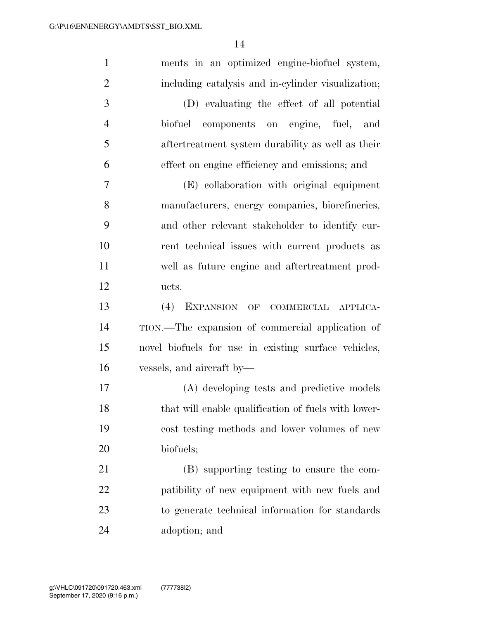| $\mathbf{1}$   | ments in an optimized engine-biofuel system,         |
|----------------|------------------------------------------------------|
| $\overline{2}$ | including catalysis and in-cylinder visualization;   |
| 3              | (D) evaluating the effect of all potential           |
| $\overline{4}$ | biofuel components on engine, fuel, and              |
| 5              | aftertreatment system durability as well as their    |
| 6              | effect on engine efficiency and emissions; and       |
| $\overline{7}$ | (E) collaboration with original equipment            |
| 8              | manufacturers, energy companies, biorefineries,      |
| 9              | and other relevant stakeholder to identify cur-      |
| 10             | rent technical issues with current products as       |
| 11             | well as future engine and aftertreatment prod-       |
| 12             | ucts.                                                |
| 13             | (4) EXPANSION OF COMMERCIAL APPLICA-                 |
| 14             | TION.—The expansion of commercial application of     |
| 15             | novel biofuels for use in existing surface vehicles, |
| 16             | vessels, and aircraft by—                            |
| 17             | (A) developing tests and predictive models           |
| 18             | that will enable qualification of fuels with lower-  |
| 19             | cost testing methods and lower volumes of new        |
| <b>20</b>      | biofuels;                                            |
| 21             | (B) supporting testing to ensure the com-            |
| 22             | patibility of new equipment with new fuels and       |
| 23             | to generate technical information for standards      |
| 24             | adoption; and                                        |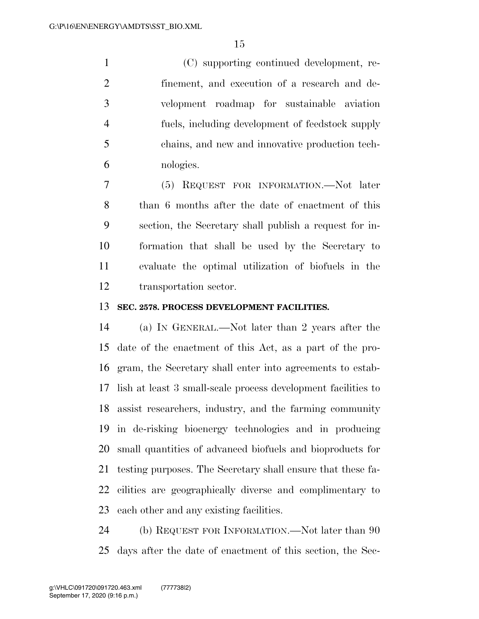(C) supporting continued development, re- finement, and execution of a research and de- velopment roadmap for sustainable aviation fuels, including development of feedstock supply chains, and new and innovative production tech-nologies.

 (5) REQUEST FOR INFORMATION.—Not later than 6 months after the date of enactment of this section, the Secretary shall publish a request for in- formation that shall be used by the Secretary to evaluate the optimal utilization of biofuels in the transportation sector.

### **SEC. 2578. PROCESS DEVELOPMENT FACILITIES.**

 (a) IN GENERAL.—Not later than 2 years after the date of the enactment of this Act, as a part of the pro- gram, the Secretary shall enter into agreements to estab- lish at least 3 small-scale process development facilities to assist researchers, industry, and the farming community in de-risking bioenergy technologies and in producing small quantities of advanced biofuels and bioproducts for testing purposes. The Secretary shall ensure that these fa- cilities are geographically diverse and complimentary to each other and any existing facilities.

24 (b) REQUEST FOR INFORMATION.—Not later than 90 days after the date of enactment of this section, the Sec-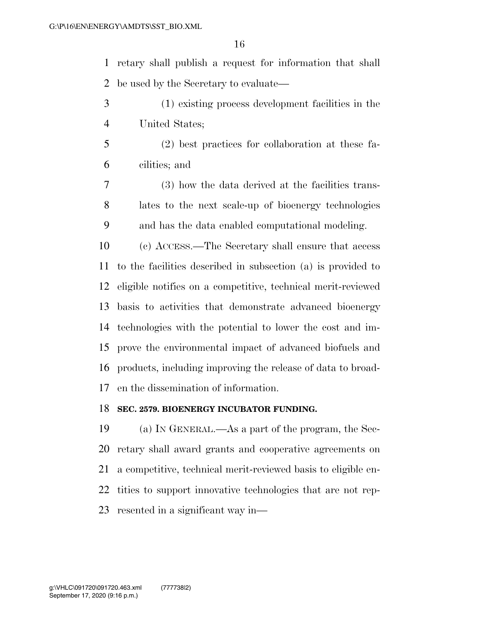retary shall publish a request for information that shall be used by the Secretary to evaluate—

- (1) existing process development facilities in the United States;
- (2) best practices for collaboration at these fa-cilities; and
- (3) how the data derived at the facilities trans- lates to the next scale-up of bioenergy technologies and has the data enabled computational modeling.

 (c) ACCESS.—The Secretary shall ensure that access to the facilities described in subsection (a) is provided to eligible notifies on a competitive, technical merit-reviewed basis to activities that demonstrate advanced bioenergy technologies with the potential to lower the cost and im- prove the environmental impact of advanced biofuels and products, including improving the release of data to broad-en the dissemination of information.

#### **SEC. 2579. BIOENERGY INCUBATOR FUNDING.**

 (a) IN GENERAL.—As a part of the program, the Sec- retary shall award grants and cooperative agreements on a competitive, technical merit-reviewed basis to eligible en- tities to support innovative technologies that are not rep-resented in a significant way in—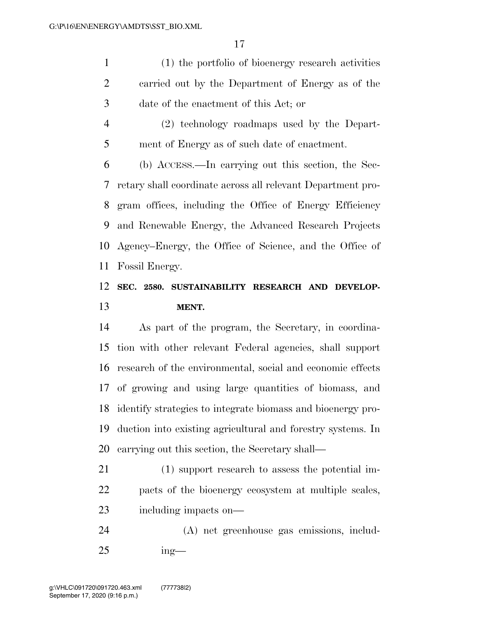(1) the portfolio of bioenergy research activities carried out by the Department of Energy as of the date of the enactment of this Act; or

 (2) technology roadmaps used by the Depart-ment of Energy as of such date of enactment.

 (b) ACCESS.—In carrying out this section, the Sec- retary shall coordinate across all relevant Department pro- gram offices, including the Office of Energy Efficiency and Renewable Energy, the Advanced Research Projects Agency–Energy, the Office of Science, and the Office of Fossil Energy.

## **SEC. 2580. SUSTAINABILITY RESEARCH AND DEVELOP-MENT.**

 As part of the program, the Secretary, in coordina- tion with other relevant Federal agencies, shall support research of the environmental, social and economic effects of growing and using large quantities of biomass, and identify strategies to integrate biomass and bioenergy pro- duction into existing agricultural and forestry systems. In carrying out this section, the Secretary shall—

 (1) support research to assess the potential im- pacts of the bioenergy ecosystem at multiple scales, including impacts on—

 (A) net greenhouse gas emissions, includ-ing—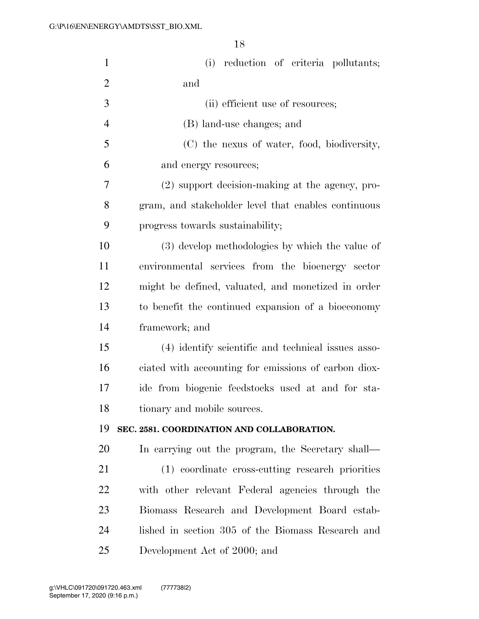| $\mathbf{1}$   | (i) reduction of criteria pollutants;                |
|----------------|------------------------------------------------------|
| $\overline{2}$ | and                                                  |
| 3              | (ii) efficient use of resources;                     |
| $\overline{4}$ | (B) land-use changes; and                            |
| 5              | (C) the nexus of water, food, biodiversity,          |
| 6              | and energy resources;                                |
| 7              | (2) support decision-making at the agency, pro-      |
| 8              | gram, and stakeholder level that enables continuous  |
| 9              | progress towards sustainability;                     |
| 10             | (3) develop methodologies by which the value of      |
| 11             | environmental services from the bioenergy sector     |
| 12             | might be defined, valuated, and monetized in order   |
| 13             | to benefit the continued expansion of a bioeconomy   |
| 14             | framework; and                                       |
| 15             | (4) identify scientific and technical issues asso-   |
| 16             | ciated with accounting for emissions of carbon diox- |
| 17             | ide from biogenic feedstocks used at and for sta-    |
| 18             | tionary and mobile sources.                          |
| 19             | SEC. 2581. COORDINATION AND COLLABORATION.           |
| 20             | In carrying out the program, the Secretary shall—    |
| 21             | (1) coordinate cross-cutting research priorities     |
| 22             | with other relevant Federal agencies through the     |
| 23             | Biomass Research and Development Board estab-        |
| 24             | lished in section 305 of the Biomass Research and    |
| 25             | Development Act of 2000; and                         |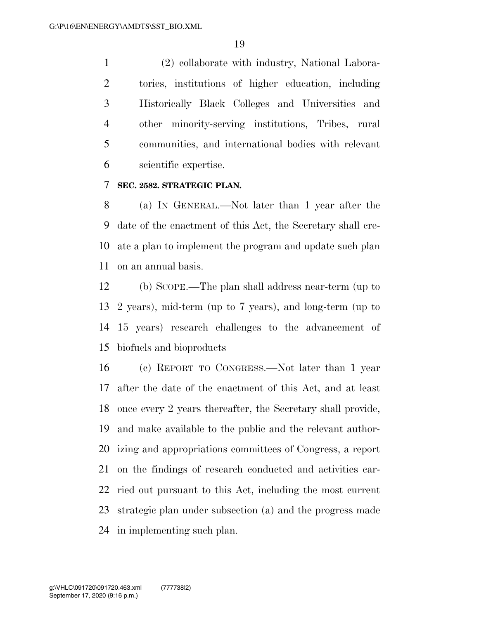(2) collaborate with industry, National Labora- tories, institutions of higher education, including Historically Black Colleges and Universities and other minority-serving institutions, Tribes, rural communities, and international bodies with relevant scientific expertise.

### **SEC. 2582. STRATEGIC PLAN.**

 (a) IN GENERAL.—Not later than 1 year after the date of the enactment of this Act, the Secretary shall cre- ate a plan to implement the program and update such plan on an annual basis.

 (b) SCOPE.—The plan shall address near-term (up to 2 years), mid-term (up to 7 years), and long-term (up to 15 years) research challenges to the advancement of biofuels and bioproducts

 (c) REPORT TO CONGRESS.—Not later than 1 year after the date of the enactment of this Act, and at least once every 2 years thereafter, the Secretary shall provide, and make available to the public and the relevant author- izing and appropriations committees of Congress, a report on the findings of research conducted and activities car- ried out pursuant to this Act, including the most current strategic plan under subsection (a) and the progress made in implementing such plan.